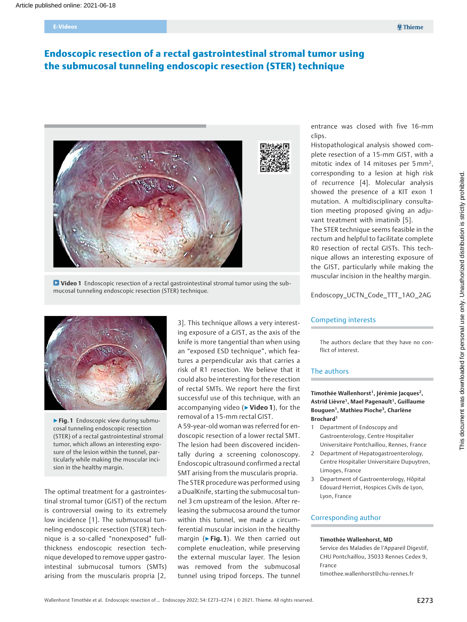#### E-Videos

# Endoscopic resection of a rectal gastrointestinal stromal tumor using the submucosal tunneling endoscopic resection (STER) technique



**D** Video 1 Endoscopic resection of a rectal gastrointestinal stromal tumor using the submucosal tunneling endoscopic resection (STER) technique.



▶ Fig. 1 Endoscopic view during submucosal tunneling endoscopic resection (STER) of a rectal gastrointestinal stromal tumor, which allows an interesting exposure of the lesion within the tunnel, particularly while making the muscular incision in the healthy margin.

The optimal treatment for a gastrointestinal stromal tumor (GIST) of the rectum is controversial owing to its extremely low incidence [1]. The submucosal tunneling endoscopic resection (STER) technique is a so-called "nonexposed" fullthickness endoscopic resection technique developed to remove upper gastrointestinal submucosal tumors (SMTs) arising from the muscularis propria [2,

3]. This technique allows a very interesting exposure of a GIST, as the axis of the knife is more tangential than when using an "exposed ESD technique", which features a perpendicular axis that carries a risk of R1 resection. We believe that it could also be interesting for the resection of rectal SMTs. We report here the first successful use of this technique, with an accompanying video (▶Video 1), for the removal of a 15-mm rectal GIST.

A 59-year-old woman was referred for endoscopic resection of a lower rectal SMT. The lesion had been discovered incidentally during a screening colonoscopy. Endoscopic ultrasound confirmed a rectal SMT arising from the muscularis propria. The STER procedure was performed using a DualKnife, starting the submucosal tunnel 3 cm upstream of the lesion. After releasing the submucosa around the tumor within this tunnel, we made a circumferential muscular incision in the healthy margin ( $\blacktriangleright$  Fig. 1). We then carried out complete enucleation, while preserving the external muscular layer. The lesion was removed from the submucosal tunnel using tripod forceps. The tunnel

entrance was closed with five 16-mm clips.

Histopathological analysis showed complete resection of a 15-mm GIST, with a mitotic index of 14 mitoses per 5 mm<sup>2</sup>, corresponding to a lesion at high risk of recurrence [4]. Molecular analysis showed the presence of a KIT exon 1 mutation. A multidisciplinary consultation meeting proposed giving an adjuvant treatment with imatinib [5].

The STER technique seems feasible in the rectum and helpful to facilitate complete R0 resection of rectal GISTs. This technique allows an interesting exposure of the GIST, particularly while making the muscular incision in the healthy margin.

Endoscopy\_UCTN\_Code\_TTT\_1AO\_2AG

#### Competing interests

The authors declare that they have no conflict of interest.

## The authors

Timothée Wallenhorst<sup>1</sup>, Jérémie Jacques<sup>2</sup>, Astrid Lièvre<sup>1</sup>, Mael Pagenault<sup>1</sup>, Guillaume Bouguen1, Mathieu Pioche3, Charlène Brochard1

- 1 Department of Endoscopy and Gastroenterology, Centre Hospitalier Universitaire Pontchaillou, Rennes, France
- 2 Department of Hepatogastroenterology, Centre Hospitalier Universitaire Dupuytren, Limoges, France
- 3 Department of Gastroenterology, Hôpital Edouard Herriot, Hospices Civils de Lyon, Lyon, France

## Corresponding author

#### Timothée Wallenhorst, MD

Service des Maladies de l'Appareil Digestif, CHU Pontchaillou, 35033 Rennes Cedex 9, France

timothee.wallenhorst@chu-rennes.fr